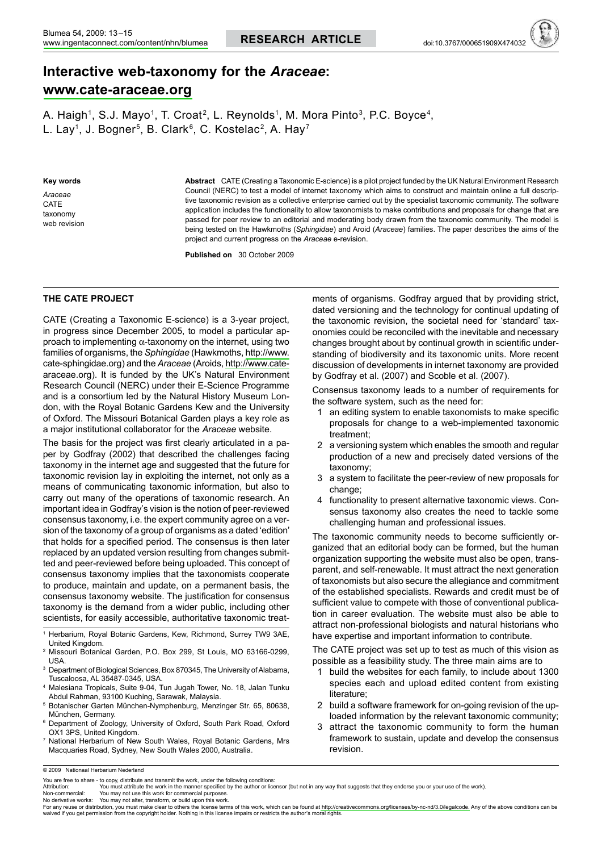# Interactive web-taxonomy for the Araceae: www.cate-araceae.org

A. Haigh<sup>1</sup>, S.J. Mayo<sup>1</sup>, T. Croat<sup>2</sup>, L. Reynolds<sup>1</sup>, M. Mora Pinto<sup>3</sup>, P.C. Boyce<sup>4</sup>, L. Lay<sup>1</sup>, J. Bogner<sup>5</sup>, B. Clark<sup>6</sup>, C. Kostelac<sup>2</sup>, A. Hay<sup>7</sup>

Key words

Araceae CATE taxonomy web revision Abstract CATE (Creating a Taxonomic E-science) is a pilot project funded by the UK Natural Environment Research Council (NERC) to test a model of internet taxonomy which aims to construct and maintain online a full descriptive taxonomic revision as a collective enterprise carried out by the specialist taxonomic community. The software application includes the functionality to allow taxonomists to make contributions and proposals for change that are passed for peer review to an editorial and moderating body drawn from the taxonomic community. The model is being tested on the Hawkmoths (Sphingidae) and Aroid (Araceae) families. The paper describes the aims of the project and current progress on the Araceae e-revision.

Published on 30 October 2009

# THE CATE PROJECT

CATE (Creating a Taxonomic E-science) is a 3-year project, in progress since December 2005, to model a particular approach to implementing  $\alpha$ -taxonomy on the internet, using two families of organisms, the Sphingidae (Hawkmoths, http://www. cate-sphingidae.org) and the Araceae (Aroids, http://www.catearaceae.org). It is funded by the UK's Natural Environment Research Council (NERC) under their E-Science Programme and is a consortium led by the Natural History Museum London, with the Royal Botanic Gardens Kew and the University of Oxford. The Missouri Botanical Garden plays a key role as a major institutional collaborator for the Araceae website.

The basis for the project was first clearly articulated in a paper by Godfray (2002) that described the challenges facing taxonomy in the internet age and suggested that the future for taxonomic revision lay in exploiting the internet, not only as a means of communicating taxonomic information, but also to carry out many of the operations of taxonomic research. An important idea in Godfray's vision is the notion of peer-reviewed consensus taxonomy, i.e. the expert community agree on a version of the taxonomy of a group of organisms as a dated 'edition' that holds for a specified period. The consensus is then later replaced by an updated version resulting from changes submitted and peer-reviewed before being uploaded. This concept of consensus taxonomy implies that the taxonomists cooperate to produce, maintain and update, on a permanent basis, the consensus taxonomy website. The justification for consensus taxonomy is the demand from a wider public, including other scientists, for easily accessible, authoritative taxonomic treat-

- Herbarium, Royal Botanic Gardens, Kew, Richmond, Surrey TW9 3AE, United Kingdom.
- <sup>2</sup> Missouri Botanical Garden, P.O. Box 299, St Louis, MO 63166-0299, **USA**
- <sup>3</sup> Department of Biological Sciences, Box 870345, The University of Alabama, Tuscaloosa, AL 35487-0345, USA.
- <sup>4</sup> Malesiana Tropicals, Suite 9-04, Tun Jugah Tower, No. 18, Jalan Tunku Abdul Rahman, 93100 Kuching, Sarawak, Malaysia.
- <sup>5</sup> Botanischer Garten München-Nymphenburg, Menzinger Str. 65, 80638, München, Germany.
- <sup>6</sup> Department of Zoology, University of Oxford, South Park Road, Oxford OX1 3PS, United Kingdom.
- 7 National Herbarium of New South Wales, Royal Botanic Gardens, Mrs Macquaries Road, Sydney, New South Wales 2000, Australia.

ments of organisms. Godfray argued that by providing strict, dated versioning and the technology for continual updating of the taxonomic revision, the societal need for 'standard' taxonomies could be reconciled with the inevitable and necessary changes brought about by continual growth in scientific understanding of biodiversity and its taxonomic units. More recent discussion of developments in internet taxonomy are provided by Godfray et al. (2007) and Scoble et al. (2007).

Consensus taxonomy leads to a number of requirements for the software system, such as the need for:

- 1 an editing system to enable taxonomists to make specific proposals for change to a web-implemented taxonomic treatment:
- 2 a versioning system which enables the smooth and regular production of a new and precisely dated versions of the taxonomy;
- 3 a system to facilitate the peer-review of new proposals for change:
- 4 functionality to present alternative taxonomic views. Consensus taxonomy also creates the need to tackle some challenging human and professional issues.

The taxonomic community needs to become sufficiently organized that an editorial body can be formed, but the human organization supporting the website must also be open, transparent, and self-renewable. It must attract the next generation of taxonomists but also secure the allegiance and commitment of the established specialists. Rewards and credit must be of sufficient value to compete with those of conventional publication in career evaluation. The website must also be able to attract non-professional biologists and natural historians who have expertise and important information to contribute.

The CATE project was set up to test as much of this vision as possible as a feasibility study. The three main aims are to

- 1 build the websites for each family, to include about 1300 species each and upload edited content from existing literature:
- 2 build a software framework for on-going revision of the uploaded information by the relevant taxonomic community;
- 3 attract the taxonomic community to form the human framework to sustain, update and develop the consensus revision.

You may not use this work for commercial purposes No derivative works: You may not alter, transform, or build upon this work.

For any reuse or distribution, you must make clear to others the license terms of this work, which can be found at http: creativecommons.org/licenses/by-nc-nd/3.0/legalcode. Any of the above conditions can be waived if you get permission from the copyright holder. Nothing in this license impairs or restricts the author's moral rights

<sup>© 2009</sup> Nationaal Herbarium Nederland

You are free to share - to copy, distribute and transmit the work, under the following conditions:

Attribution: You must attribute the work in the manner specified by the author or licensor (but not in any way that suggests that they endorse you or your use of the work). Non-commercial: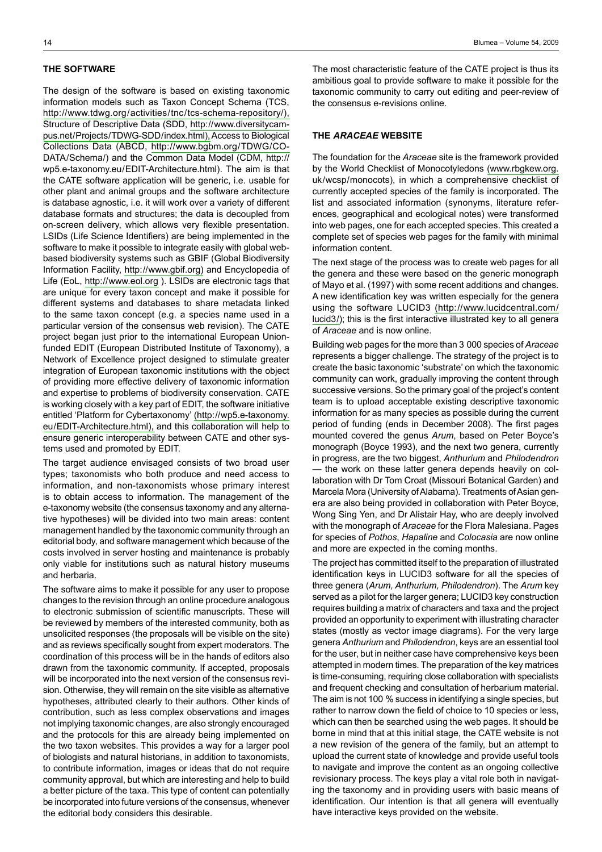#### THE SOFTWARE

The design of the software is based on existing taxonomic information models such as Taxon Concept Schema (TCS, http://www.tdwg.org/activities/tnc/tcs-schema-repository/), Structure of Descriptive Data (SDD, http://www.diversitycampus.net/Projects/TDWG-SDD/index.html), Access to Biological Collections Data (ABCD, http://www.bgbm.org/TDWG/CO-DATA/Schema/) and the Common Data Model (CDM, http:// wp5.e-taxonomy.eu/EDIT-Architecture.html). The aim is that the CATE software application will be generic, i.e. usable for other plant and animal groups and the software architecture is database agnostic, i.e. it will work over a variety of different database formats and structures; the data is decoupled from on-screen delivery, which allows very flexible presentation. LSIDs (Life Science Identifiers) are being implemented in the software to make it possible to integrate easily with global webbased biodiversity systems such as GBIF (Global Biodiversity Information Facility, http://www.gbif.org) and Encyclopedia of Life (EoL, http://www.eol.org). LSIDs are electronic tags that are unique for every taxon concept and make it possible for different systems and databases to share metadata linked to the same taxon concept (e.g. a species name used in a particular version of the consensus web revision). The CATE project began just prior to the international European Unionfunded EDIT (European Distributed Institute of Taxonomy), a Network of Excellence project designed to stimulate greater integration of European taxonomic institutions with the object of providing more effective delivery of taxonomic information and expertise to problems of biodiversity conservation. CATE is working closely with a key part of EDIT, the software initiative entitled 'Platform for Cybertaxonomy' (http://wp5.e-taxonomy. eu/EDIT-Architecture.html), and this collaboration will help to ensure generic interoperability between CATE and other systems used and promoted by EDIT.

The target audience envisaged consists of two broad user types; taxonomists who both produce and need access to information, and non-taxonomists whose primary interest is to obtain access to information. The management of the e-taxonomy website (the consensus taxonomy and any alternative hypotheses) will be divided into two main areas: content management handled by the taxonomic community through an editorial body, and software management which because of the costs involved in server hosting and maintenance is probably only viable for institutions such as natural history museums and herbaria.

The software aims to make it possible for any user to propose changes to the revision through an online procedure analogous to electronic submission of scientific manuscripts. These will be reviewed by members of the interested community, both as unsolicited responses (the proposals will be visible on the site) and as reviews specifically sought from expert moderators. The coordination of this process will be in the hands of editors also drawn from the taxonomic community. If accepted, proposals will be incorporated into the next version of the consensus revision. Otherwise, they will remain on the site visible as alternative hypotheses, attributed clearly to their authors. Other kinds of contribution, such as less complex observations and images not implying taxonomic changes, are also strongly encouraged and the protocols for this are already being implemented on the two taxon websites. This provides a way for a larger pool of biologists and natural historians, in addition to taxonomists, to contribute information, images or ideas that do not require community approval, but which are interesting and help to build a better picture of the taxa. This type of content can potentially be incorporated into future versions of the consensus, whenever the editorial body considers this desirable.

The most characteristic feature of the CATE project is thus its ambitious goal to provide software to make it possible for the taxonomic community to carry out editing and peer-review of the consensus e-revisions online.

## THE ARACEAE WEBSITE

The foundation for the Araceae site is the framework provided by the World Checklist of Monocotyledons (www.rbgkew.org. uk/wcsp/monocots), in which a comprehensive checklist of currently accepted species of the family is incorporated. The list and associated information (synonyms, literature references, geographical and ecological notes) were transformed into web pages, one for each accepted species. This created a complete set of species web pages for the family with minimal information content.

The next stage of the process was to create web pages for all the genera and these were based on the generic monograph of Mayo et al. (1997) with some recent additions and changes. A new identification key was written especially for the genera using the software LUCID3 (http://www.lucidcentral.com/ lucid3/); this is the first interactive illustrated key to all genera of Araceae and is now online.

Building web pages for the more than 3 000 species of Araceae represents a bigger challenge. The strategy of the project is to create the basic taxonomic 'substrate' on which the taxonomic community can work, gradually improving the content through successive versions. So the primary goal of the project's content team is to upload acceptable existing descriptive taxonomic information for as many species as possible during the current period of funding (ends in December 2008). The first pages mounted covered the genus Arum, based on Peter Boyce's monograph (Boyce 1993), and the next two genera, currently in progress, are the two biggest, Anthurium and Philodendron - the work on these latter genera depends heavily on collaboration with Dr Tom Croat (Missouri Botanical Garden) and Marcela Mora (University of Alabama). Treatments of Asian genera are also being provided in collaboration with Peter Boyce, Wong Sing Yen, and Dr Alistair Hay, who are deeply involved with the monograph of Araceae for the Flora Malesiana. Pages for species of Pothos, Hapaline and Colocasia are now online and more are expected in the coming months.

The project has committed itself to the preparation of illustrated identification keys in LUCID3 software for all the species of three genera (Arum, Anthurium, Philodendron). The Arum key served as a pilot for the larger genera; LUCID3 key construction requires building a matrix of characters and taxa and the project provided an opportunity to experiment with illustrating character states (mostly as vector image diagrams). For the very large genera Anthurium and Philodendron, keys are an essential tool for the user, but in neither case have comprehensive keys been attempted in modern times. The preparation of the key matrices is time-consuming, requiring close collaboration with specialists and frequent checking and consultation of herbarium material. The aim is not 100 % success in identifying a single species, but rather to narrow down the field of choice to 10 species or less, which can then be searched using the web pages. It should be borne in mind that at this initial stage, the CATE website is not a new revision of the genera of the family, but an attempt to upload the current state of knowledge and provide useful tools to navigate and improve the content as an ongoing collective revisionary process. The keys play a vital role both in navigating the taxonomy and in providing users with basic means of identification. Our intention is that all genera will eventually have interactive keys provided on the website.